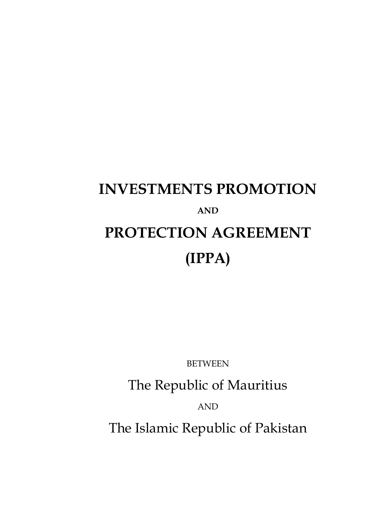# **INVESTMENTS PROMOTION AND PROTECTION AGREEMENT (IPPA)**

BETWEEN

The Republic of Mauritius

AND

The Islamic Republic of Pakistan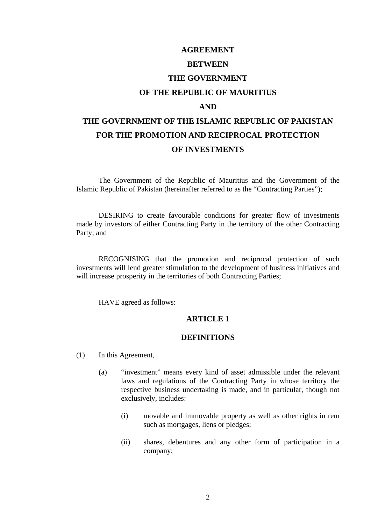#### **AGREEMENT**

#### **BETWEEN**

## **THE GOVERNMENT**

#### **OF THE REPUBLIC OF MAURITIUS**

#### **AND**

## **THE GOVERNMENT OF THE ISLAMIC REPUBLIC OF PAKISTAN FOR THE PROMOTION AND RECIPROCAL PROTECTION OF INVESTMENTS**

The Government of the Republic of Mauritius and the Government of the Islamic Republic of Pakistan (hereinafter referred to as the "Contracting Parties");

DESIRING to create favourable conditions for greater flow of investments made by investors of either Contracting Party in the territory of the other Contracting Party; and

RECOGNISING that the promotion and reciprocal protection of such investments will lend greater stimulation to the development of business initiatives and will increase prosperity in the territories of both Contracting Parties:

HAVE agreed as follows:

## **ARTICLE 1**

#### **DEFINITIONS**

- (1) In this Agreement,
	- (a) "investment" means every kind of asset admissible under the relevant laws and regulations of the Contracting Party in whose territory the respective business undertaking is made, and in particular, though not exclusively, includes:
		- (i) movable and immovable property as well as other rights in rem such as mortgages, liens or pledges;
		- (ii) shares, debentures and any other form of participation in a company;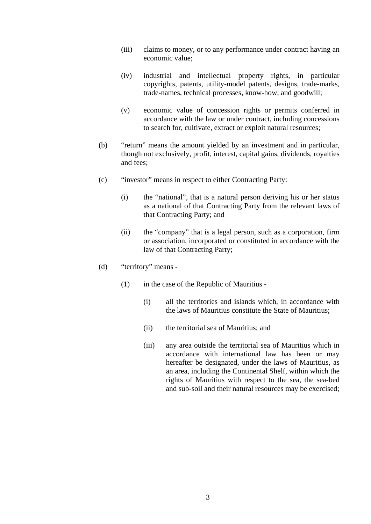- (iii) claims to money, or to any performance under contract having an economic value;
- (iv) industrial and intellectual property rights, in particular copyrights, patents, utility-model patents, designs, trade-marks, trade-names, technical processes, know-how, and goodwill;
- (v) economic value of concession rights or permits conferred in accordance with the law or under contract, including concessions to search for, cultivate, extract or exploit natural resources;
- (b) "return" means the amount yielded by an investment and in particular, though not exclusively, profit, interest, capital gains, dividends, royalties and fees;
- (c) "investor" means in respect to either Contracting Party:
	- (i) the "national", that is a natural person deriving his or her status as a national of that Contracting Party from the relevant laws of that Contracting Party; and
	- (ii) the "company" that is a legal person, such as a corporation, firm or association, incorporated or constituted in accordance with the law of that Contracting Party;
- (d) "territory" means
	- (1) in the case of the Republic of Mauritius
		- (i) all the territories and islands which, in accordance with the laws of Mauritius constitute the State of Mauritius;
		- (ii) the territorial sea of Mauritius; and
		- (iii) any area outside the territorial sea of Mauritius which in accordance with international law has been or may hereafter be designated, under the laws of Mauritius, as an area, including the Continental Shelf, within which the rights of Mauritius with respect to the sea, the sea-bed and sub-soil and their natural resources may be exercised;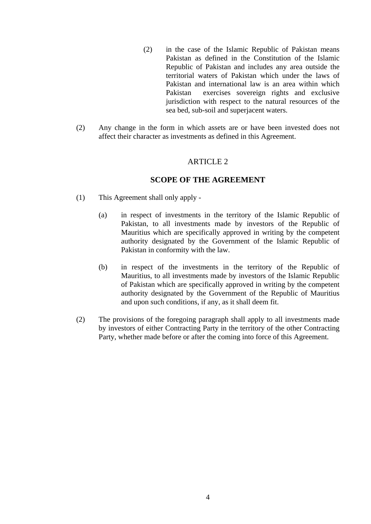- (2) in the case of the Islamic Republic of Pakistan means Pakistan as defined in the Constitution of the Islamic Republic of Pakistan and includes any area outside the territorial waters of Pakistan which under the laws of Pakistan and international law is an area within which Pakistan exercises sovereign rights and exclusive jurisdiction with respect to the natural resources of the sea bed, sub-soil and superjacent waters.
- (2) Any change in the form in which assets are or have been invested does not affect their character as investments as defined in this Agreement.

#### **SCOPE OF THE AGREEMENT**

- (1) This Agreement shall only apply
	- (a) in respect of investments in the territory of the Islamic Republic of Pakistan, to all investments made by investors of the Republic of Mauritius which are specifically approved in writing by the competent authority designated by the Government of the Islamic Republic of Pakistan in conformity with the law.
	- (b) in respect of the investments in the territory of the Republic of Mauritius, to all investments made by investors of the Islamic Republic of Pakistan which are specifically approved in writing by the competent authority designated by the Government of the Republic of Mauritius and upon such conditions, if any, as it shall deem fit.
- (2) The provisions of the foregoing paragraph shall apply to all investments made by investors of either Contracting Party in the territory of the other Contracting Party, whether made before or after the coming into force of this Agreement.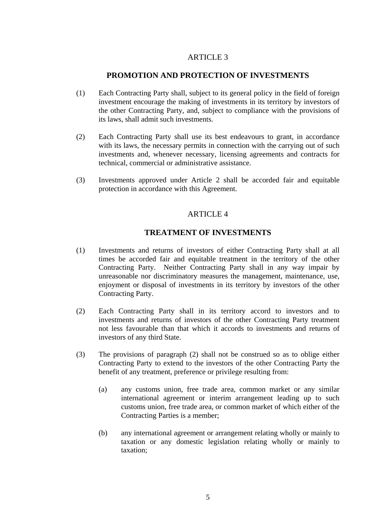## **PROMOTION AND PROTECTION OF INVESTMENTS**

- (1) Each Contracting Party shall, subject to its general policy in the field of foreign investment encourage the making of investments in its territory by investors of the other Contracting Party, and, subject to compliance with the provisions of its laws, shall admit such investments.
- (2) Each Contracting Party shall use its best endeavours to grant, in accordance with its laws, the necessary permits in connection with the carrying out of such investments and, whenever necessary, licensing agreements and contracts for technical, commercial or administrative assistance.
- (3) Investments approved under Article 2 shall be accorded fair and equitable protection in accordance with this Agreement.

## ARTICLE 4

## **TREATMENT OF INVESTMENTS**

- (1) Investments and returns of investors of either Contracting Party shall at all times be accorded fair and equitable treatment in the territory of the other Contracting Party. Neither Contracting Party shall in any way impair by unreasonable nor discriminatory measures the management, maintenance, use, enjoyment or disposal of investments in its territory by investors of the other Contracting Party.
- (2) Each Contracting Party shall in its territory accord to investors and to investments and returns of investors of the other Contracting Party treatment not less favourable than that which it accords to investments and returns of investors of any third State.
- (3) The provisions of paragraph (2) shall not be construed so as to oblige either Contracting Party to extend to the investors of the other Contracting Party the benefit of any treatment, preference or privilege resulting from:
	- (a) any customs union, free trade area, common market or any similar international agreement or interim arrangement leading up to such customs union, free trade area, or common market of which either of the Contracting Parties is a member;
	- (b) any international agreement or arrangement relating wholly or mainly to taxation or any domestic legislation relating wholly or mainly to taxation;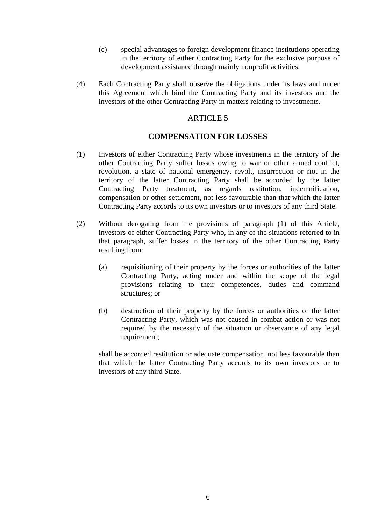- (c) special advantages to foreign development finance institutions operating in the territory of either Contracting Party for the exclusive purpose of development assistance through mainly nonprofit activities.
- (4) Each Contracting Party shall observe the obligations under its laws and under this Agreement which bind the Contracting Party and its investors and the investors of the other Contracting Party in matters relating to investments.

#### **COMPENSATION FOR LOSSES**

- (1) Investors of either Contracting Party whose investments in the territory of the other Contracting Party suffer losses owing to war or other armed conflict, revolution, a state of national emergency, revolt, insurrection or riot in the territory of the latter Contracting Party shall be accorded by the latter Contracting Party treatment, as regards restitution, indemnification, compensation or other settlement, not less favourable than that which the latter Contracting Party accords to its own investors or to investors of any third State.
- (2) Without derogating from the provisions of paragraph (1) of this Article, investors of either Contracting Party who, in any of the situations referred to in that paragraph, suffer losses in the territory of the other Contracting Party resulting from:
	- (a) requisitioning of their property by the forces or authorities of the latter Contracting Party, acting under and within the scope of the legal provisions relating to their competences, duties and command structures; or
	- (b) destruction of their property by the forces or authorities of the latter Contracting Party, which was not caused in combat action or was not required by the necessity of the situation or observance of any legal requirement;

 shall be accorded restitution or adequate compensation, not less favourable than that which the latter Contracting Party accords to its own investors or to investors of any third State.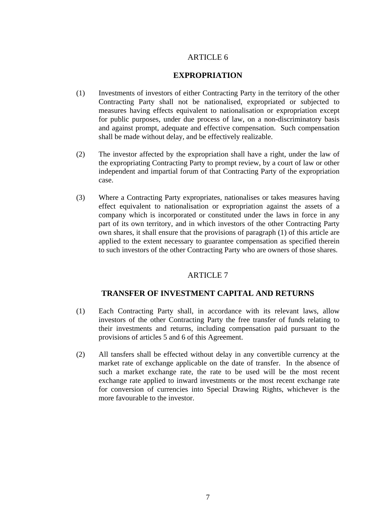## **EXPROPRIATION**

- (1) Investments of investors of either Contracting Party in the territory of the other Contracting Party shall not be nationalised, expropriated or subjected to measures having effects equivalent to nationalisation or expropriation except for public purposes, under due process of law, on a non-discriminatory basis and against prompt, adequate and effective compensation. Such compensation shall be made without delay, and be effectively realizable.
- (2) The investor affected by the expropriation shall have a right, under the law of the expropriating Contracting Party to prompt review, by a court of law or other independent and impartial forum of that Contracting Party of the expropriation case.
- (3) Where a Contracting Party expropriates, nationalises or takes measures having effect equivalent to nationalisation or expropriation against the assets of a company which is incorporated or constituted under the laws in force in any part of its own territory, and in which investors of the other Contracting Party own shares, it shall ensure that the provisions of paragraph (1) of this article are applied to the extent necessary to guarantee compensation as specified therein to such investors of the other Contracting Party who are owners of those shares.

## ARTICLE 7

## **TRANSFER OF INVESTMENT CAPITAL AND RETURNS**

- (1) Each Contracting Party shall, in accordance with its relevant laws, allow investors of the other Contracting Party the free transfer of funds relating to their investments and returns, including compensation paid pursuant to the provisions of articles 5 and 6 of this Agreement.
- (2) All tansfers shall be effected without delay in any convertible currency at the market rate of exchange applicable on the date of transfer. In the absence of such a market exchange rate, the rate to be used will be the most recent exchange rate applied to inward investments or the most recent exchange rate for conversion of currencies into Special Drawing Rights, whichever is the more favourable to the investor.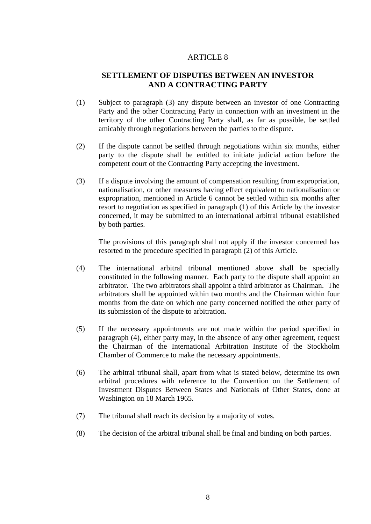## **SETTLEMENT OF DISPUTES BETWEEN AN INVESTOR AND A CONTRACTING PARTY**

- (1) Subject to paragraph (3) any dispute between an investor of one Contracting Party and the other Contracting Party in connection with an investment in the territory of the other Contracting Party shall, as far as possible, be settled amicably through negotiations between the parties to the dispute.
- (2) If the dispute cannot be settled through negotiations within six months, either party to the dispute shall be entitled to initiate judicial action before the competent court of the Contracting Party accepting the investment.
- (3) If a dispute involving the amount of compensation resulting from expropriation, nationalisation, or other measures having effect equivalent to nationalisation or expropriation, mentioned in Article 6 cannot be settled within six months after resort to negotiation as specified in paragraph (1) of this Article by the investor concerned, it may be submitted to an international arbitral tribunal established by both parties.

 The provisions of this paragraph shall not apply if the investor concerned has resorted to the procedure specified in paragraph (2) of this Article.

- (4) The international arbitral tribunal mentioned above shall be specially constituted in the following manner. Each party to the dispute shall appoint an arbitrator. The two arbitrators shall appoint a third arbitrator as Chairman. The arbitrators shall be appointed within two months and the Chairman within four months from the date on which one party concerned notified the other party of its submission of the dispute to arbitration.
- (5) If the necessary appointments are not made within the period specified in paragraph (4), either party may, in the absence of any other agreement, request the Chairman of the International Arbitration Institute of the Stockholm Chamber of Commerce to make the necessary appointments.
- (6) The arbitral tribunal shall, apart from what is stated below, determine its own arbitral procedures with reference to the Convention on the Settlement of Investment Disputes Between States and Nationals of Other States, done at Washington on 18 March 1965.
- (7) The tribunal shall reach its decision by a majority of votes.
- (8) The decision of the arbitral tribunal shall be final and binding on both parties.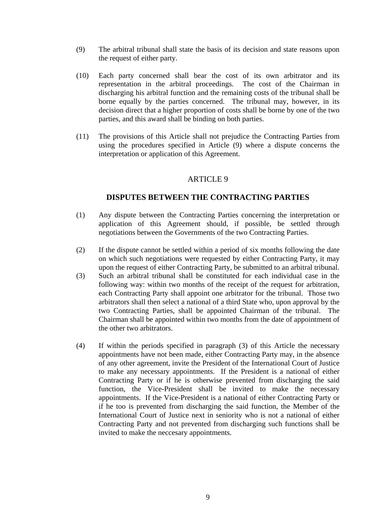- (9) The arbitral tribunal shall state the basis of its decision and state reasons upon the request of either party.
- (10) Each party concerned shall bear the cost of its own arbitrator and its representation in the arbitral proceedings. The cost of the Chairman in discharging his arbitral function and the remaining costs of the tribunal shall be borne equally by the parties concerned. The tribunal may, however, in its decision direct that a higher proportion of costs shall be borne by one of the two parties, and this award shall be binding on both parties.
- (11) The provisions of this Article shall not prejudice the Contracting Parties from using the procedures specified in Article (9) where a dispute concerns the interpretation or application of this Agreement.

## **DISPUTES BETWEEN THE CONTRACTING PARTIES**

- (1) Any dispute between the Contracting Parties concerning the interpretation or application of this Agreement should, if possible, be settled through negotiations between the Governments of the two Contracting Parties.
- (2) If the dispute cannot be settled within a period of six months following the date on which such negotiations were requested by either Contracting Party, it may upon the request of either Contracting Party, be submitted to an arbitral tribunal.
- (3) Such an arbitral tribunal shall be constituted for each individual case in the following way: within two months of the receipt of the request for arbitration, each Contracting Party shall appoint one arbitrator for the tribunal. Those two arbitrators shall then select a national of a third State who, upon approval by the two Contracting Parties, shall be appointed Chairman of the tribunal. The Chairman shall be appointed within two months from the date of appointment of the other two arbitrators.
- (4) If within the periods specified in paragraph (3) of this Article the necessary appointments have not been made, either Contracting Party may, in the absence of any other agreement, invite the President of the International Court of Justice to make any necessary appointments. If the President is a national of either Contracting Party or if he is otherwise prevented from discharging the said function, the Vice-President shall be invited to make the necessary appointments. If the Vice-President is a national of either Contracting Party or if he too is prevented from discharging the said function, the Member of the International Court of Justice next in seniority who is not a national of either Contracting Party and not prevented from discharging such functions shall be invited to make the neccesary appointments.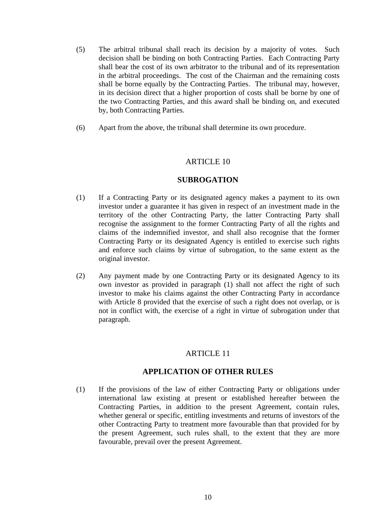- (5) The arbitral tribunal shall reach its decision by a majority of votes. Such decision shall be binding on both Contracting Parties. Each Contracting Party shall bear the cost of its own arbitrator to the tribunal and of its representation in the arbitral proceedings. The cost of the Chairman and the remaining costs shall be borne equally by the Contracting Parties. The tribunal may, however, in its decision direct that a higher proportion of costs shall be borne by one of the two Contracting Parties, and this award shall be binding on, and executed by, both Contracting Parties.
- (6) Apart from the above, the tribunal shall determine its own procedure.

#### **SUBROGATION**

- (1) If a Contracting Party or its designated agency makes a payment to its own investor under a guarantee it has given in respect of an investment made in the territory of the other Contracting Party, the latter Contracting Party shall recognise the assignment to the former Contracting Party of all the rights and claims of the indemnified investor, and shall also recognise that the former Contracting Party or its designated Agency is entitled to exercise such rights and enforce such claims by virtue of subrogation, to the same extent as the original investor.
- (2) Any payment made by one Contracting Party or its designated Agency to its own investor as provided in paragraph (1) shall not affect the right of such investor to make his claims against the other Contracting Party in accordance with Article 8 provided that the exercise of such a right does not overlap, or is not in conflict with, the exercise of a right in virtue of subrogation under that paragraph.

## ARTICLE 11

## **APPLICATION OF OTHER RULES**

(1) If the provisions of the law of either Contracting Party or obligations under international law existing at present or established hereafter between the Contracting Parties, in addition to the present Agreement, contain rules, whether general or specific, entitling investments and returns of investors of the other Contracting Party to treatment more favourable than that provided for by the present Agreement, such rules shall, to the extent that they are more favourable, prevail over the present Agreement.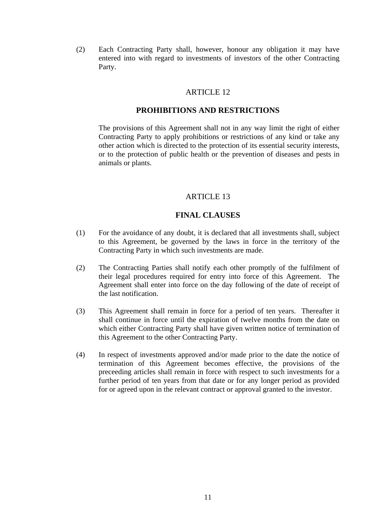(2) Each Contracting Party shall, however, honour any obligation it may have entered into with regard to investments of investors of the other Contracting Party.

## ARTICLE 12

#### **PROHIBITIONS AND RESTRICTIONS**

 The provisions of this Agreement shall not in any way limit the right of either Contracting Party to apply prohibitions or restrictions of any kind or take any other action which is directed to the protection of its essential security interests, or to the protection of public health or the prevention of diseases and pests in animals or plants.

#### ARTICLE 13

#### **FINAL CLAUSES**

- (1) For the avoidance of any doubt, it is declared that all investments shall, subject to this Agreement, be governed by the laws in force in the territory of the Contracting Party in which such investments are made.
- (2) The Contracting Parties shall notify each other promptly of the fulfilment of their legal procedures required for entry into force of this Agreement. The Agreement shall enter into force on the day following of the date of receipt of the last notification.
- (3) This Agreement shall remain in force for a period of ten years. Thereafter it shall continue in force until the expiration of twelve months from the date on which either Contracting Party shall have given written notice of termination of this Agreement to the other Contracting Party.
- (4) In respect of investments approved and/or made prior to the date the notice of termination of this Agreement becomes effective, the provisions of the preceeding articles shall remain in force with respect to such investments for a further period of ten years from that date or for any longer period as provided for or agreed upon in the relevant contract or approval granted to the investor.